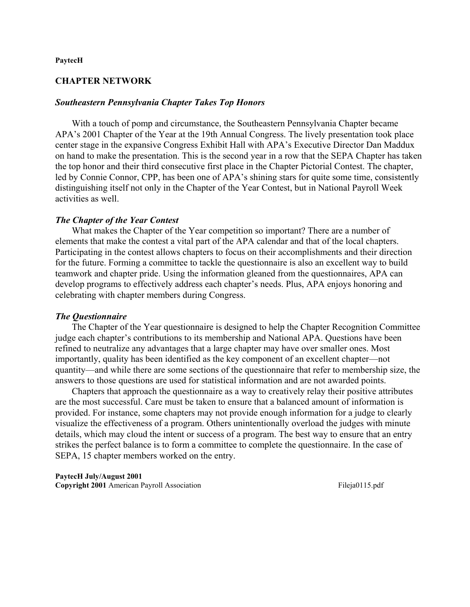### **PaytecH**

# **CHAPTER NETWORK**

### *Southeastern Pennsylvania Chapter Takes Top Honors*

 With a touch of pomp and circumstance, the Southeastern Pennsylvania Chapter became APA's 2001 Chapter of the Year at the 19th Annual Congress. The lively presentation took place center stage in the expansive Congress Exhibit Hall with APA's Executive Director Dan Maddux on hand to make the presentation. This is the second year in a row that the SEPA Chapter has taken the top honor and their third consecutive first place in the Chapter Pictorial Contest. The chapter, led by Connie Connor, CPP, has been one of APA's shining stars for quite some time, consistently distinguishing itself not only in the Chapter of the Year Contest, but in National Payroll Week activities as well.

## *The Chapter of the Year Contest*

 What makes the Chapter of the Year competition so important? There are a number of elements that make the contest a vital part of the APA calendar and that of the local chapters. Participating in the contest allows chapters to focus on their accomplishments and their direction for the future. Forming a committee to tackle the questionnaire is also an excellent way to build teamwork and chapter pride. Using the information gleaned from the questionnaires, APA can develop programs to effectively address each chapter's needs. Plus, APA enjoys honoring and celebrating with chapter members during Congress.

## *The Questionnaire*

 The Chapter of the Year questionnaire is designed to help the Chapter Recognition Committee judge each chapter's contributions to its membership and National APA. Questions have been refined to neutralize any advantages that a large chapter may have over smaller ones. Most importantly, quality has been identified as the key component of an excellent chapter—not quantity—and while there are some sections of the questionnaire that refer to membership size, the answers to those questions are used for statistical information and are not awarded points.

 Chapters that approach the questionnaire as a way to creatively relay their positive attributes are the most successful. Care must be taken to ensure that a balanced amount of information is provided. For instance, some chapters may not provide enough information for a judge to clearly visualize the effectiveness of a program. Others unintentionally overload the judges with minute details, which may cloud the intent or success of a program. The best way to ensure that an entry strikes the perfect balance is to form a committee to complete the questionnaire. In the case of SEPA, 15 chapter members worked on the entry.

**PaytecH July/August 2001 Copyright 2001** American Payroll Association Fileja0115.pdf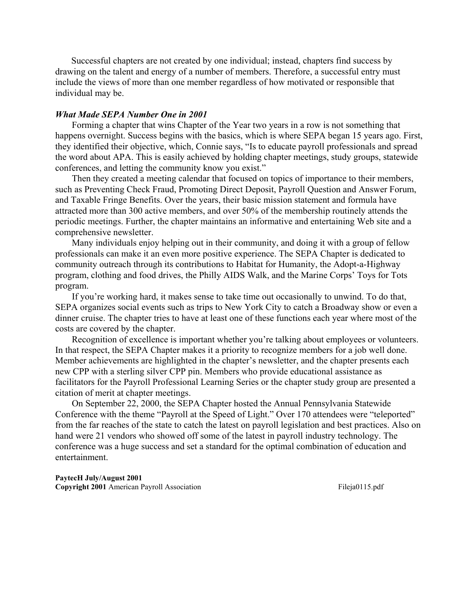Successful chapters are not created by one individual; instead, chapters find success by drawing on the talent and energy of a number of members. Therefore, a successful entry must include the views of more than one member regardless of how motivated or responsible that individual may be.

# *What Made SEPA Number One in 2001*

 Forming a chapter that wins Chapter of the Year two years in a row is not something that happens overnight. Success begins with the basics, which is where SEPA began 15 years ago. First, they identified their objective, which, Connie says, "Is to educate payroll professionals and spread the word about APA. This is easily achieved by holding chapter meetings, study groups, statewide conferences, and letting the community know you exist."

 Then they created a meeting calendar that focused on topics of importance to their members, such as Preventing Check Fraud, Promoting Direct Deposit, Payroll Question and Answer Forum, and Taxable Fringe Benefits. Over the years, their basic mission statement and formula have attracted more than 300 active members, and over 50% of the membership routinely attends the periodic meetings. Further, the chapter maintains an informative and entertaining Web site and a comprehensive newsletter.

 Many individuals enjoy helping out in their community, and doing it with a group of fellow professionals can make it an even more positive experience. The SEPA Chapter is dedicated to community outreach through its contributions to Habitat for Humanity, the Adopt-a-Highway program, clothing and food drives, the Philly AIDS Walk, and the Marine Corps' Toys for Tots program.

 If you're working hard, it makes sense to take time out occasionally to unwind. To do that, SEPA organizes social events such as trips to New York City to catch a Broadway show or even a dinner cruise. The chapter tries to have at least one of these functions each year where most of the costs are covered by the chapter.

 Recognition of excellence is important whether you're talking about employees or volunteers. In that respect, the SEPA Chapter makes it a priority to recognize members for a job well done. Member achievements are highlighted in the chapter's newsletter, and the chapter presents each new CPP with a sterling silver CPP pin. Members who provide educational assistance as facilitators for the Payroll Professional Learning Series or the chapter study group are presented a citation of merit at chapter meetings.

 On September 22, 2000, the SEPA Chapter hosted the Annual Pennsylvania Statewide Conference with the theme "Payroll at the Speed of Light." Over 170 attendees were "teleported" from the far reaches of the state to catch the latest on payroll legislation and best practices. Also on hand were 21 vendors who showed off some of the latest in payroll industry technology. The conference was a huge success and set a standard for the optimal combination of education and entertainment.

**PaytecH July/August 2001 Copyright 2001** American Payroll Association Fileja0115.pdf